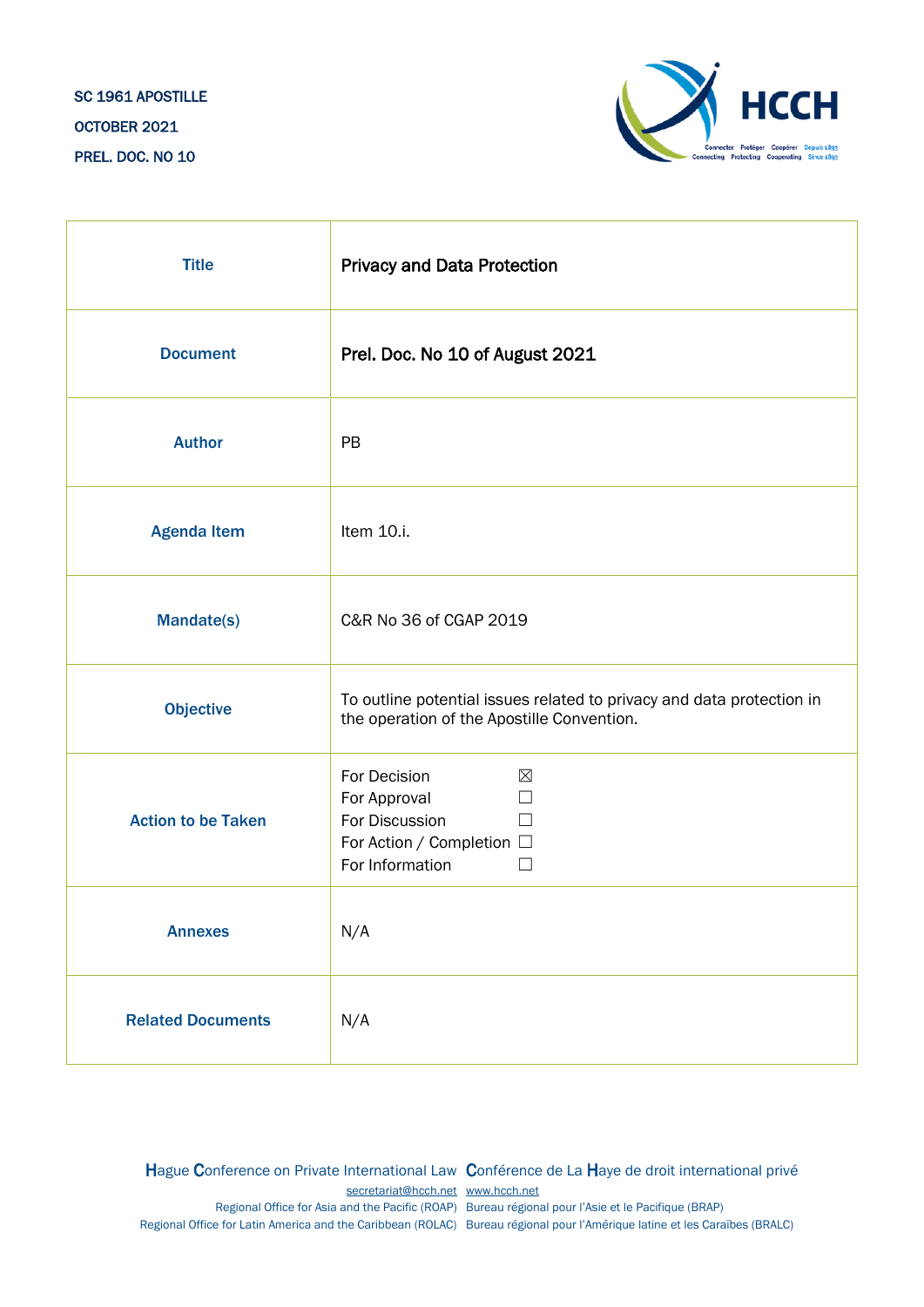

| <b>Title</b>              | <b>Privacy and Data Protection</b>                                                                                                           |
|---------------------------|----------------------------------------------------------------------------------------------------------------------------------------------|
| <b>Document</b>           | Prel. Doc. No 10 of August 2021                                                                                                              |
| <b>Author</b>             | PB                                                                                                                                           |
| <b>Agenda Item</b>        | Item 10.i.                                                                                                                                   |
| Mandate(s)                | C&R No 36 of CGAP 2019                                                                                                                       |
| <b>Objective</b>          | To outline potential issues related to privacy and data protection in<br>the operation of the Apostille Convention.                          |
| <b>Action to be Taken</b> | For Decision<br>$\boxtimes$<br>For Approval<br>$\Box$<br>For Discussion<br>П<br>For Action / Completion □<br>For Information<br>$\mathbf{I}$ |
| <b>Annexes</b>            | N/A                                                                                                                                          |
| <b>Related Documents</b>  | N/A                                                                                                                                          |

Hague Conference on Private International Law Conférence de La Haye de droit international privé [secretariat@hcch.net](mailto:secretariat@hcch.net) [www.hcch.net](http://www.hcch.net/) Regional Office for Asia and the Pacific (ROAP) Bureau régional pour l'Asie et le Pacifique (BRAP) Regional Office for Latin America and the Caribbean (ROLAC) Bureau régional pour l'Amérique latine et les Caraïbes (BRALC)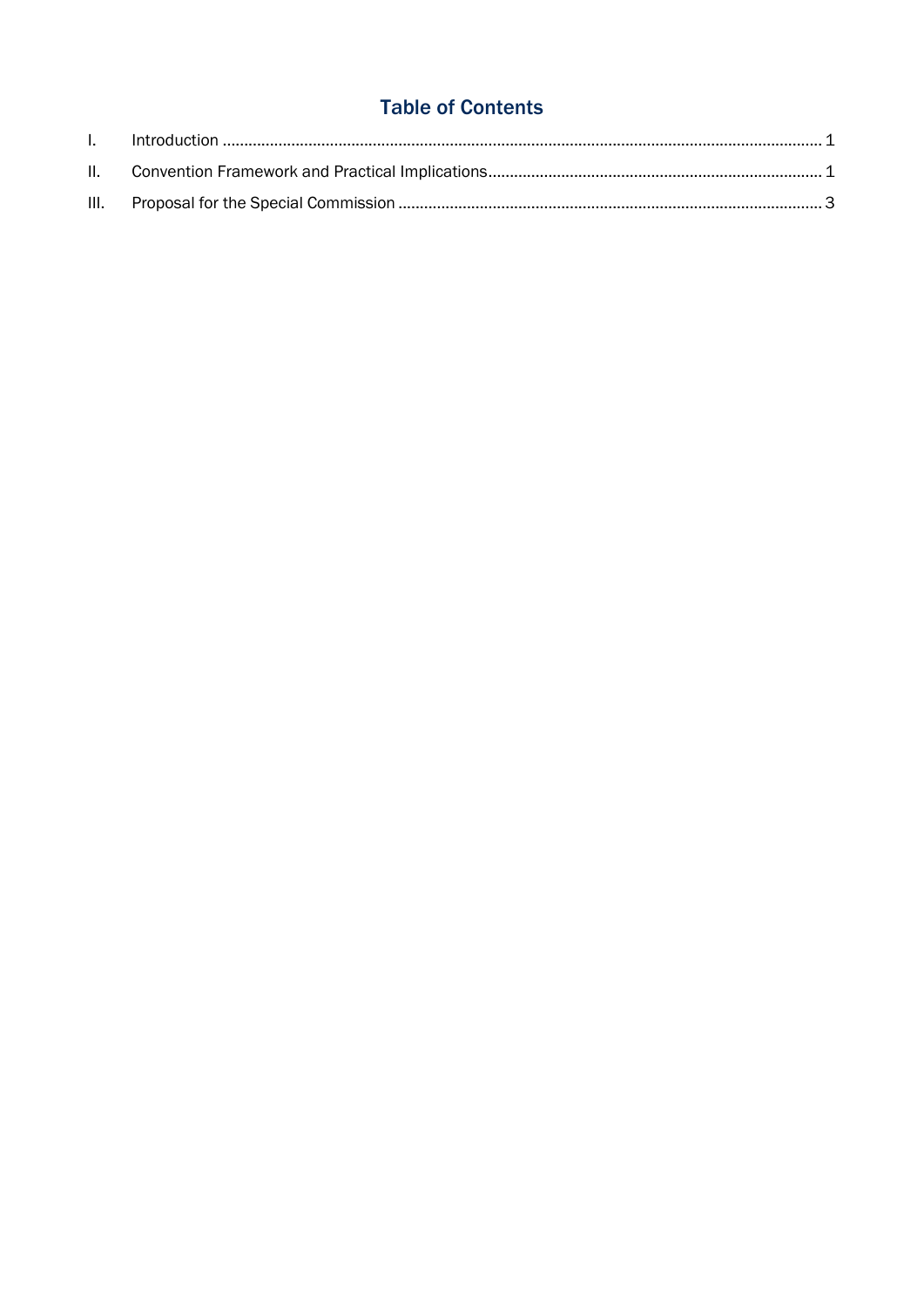## **Table of Contents**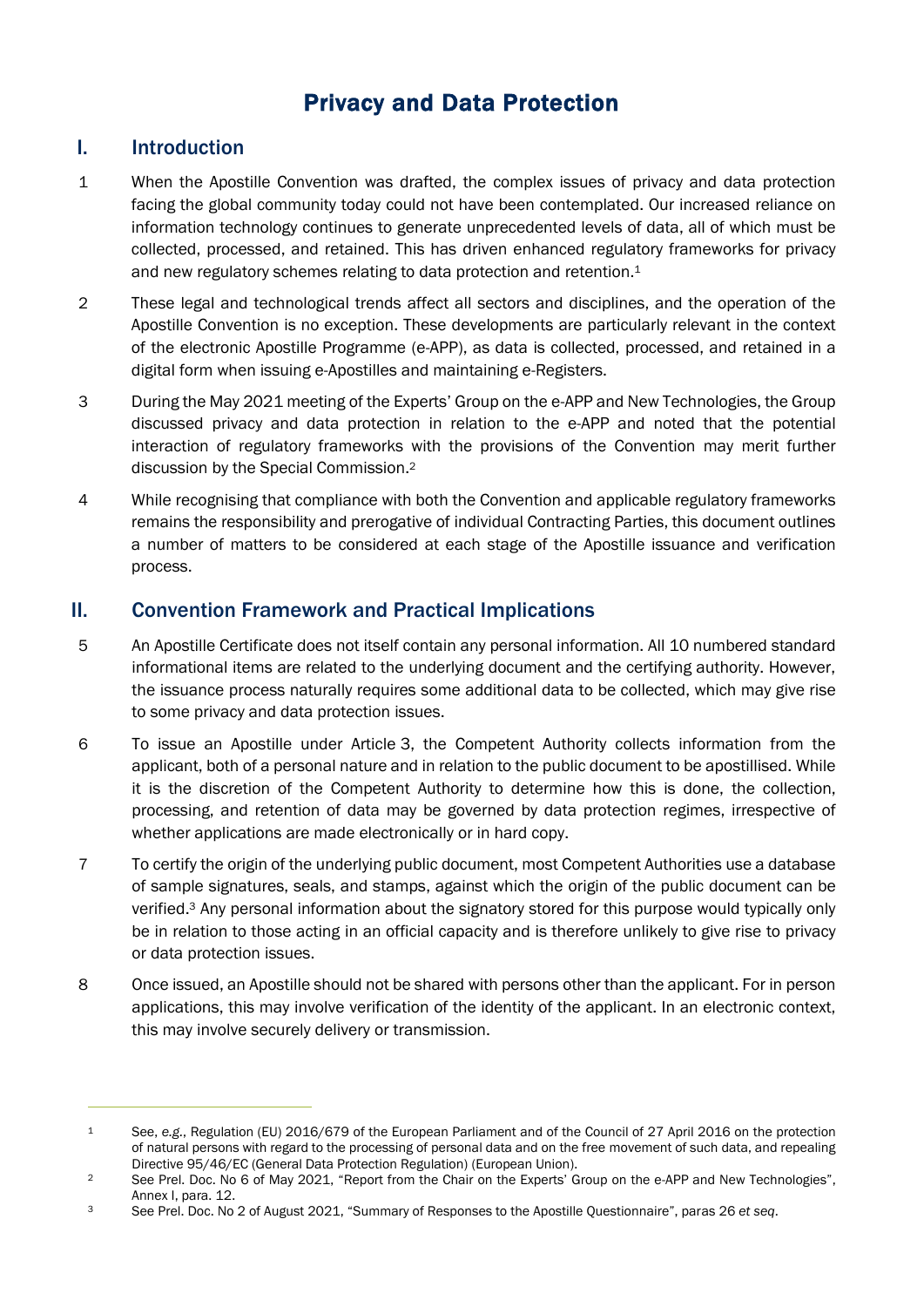# Privacy and Data Protection

#### <span id="page-2-0"></span>I. Introduction

- 1 When the Apostille Convention was drafted, the complex issues of privacy and data protection facing the global community today could not have been contemplated. Our increased reliance on information technology continues to generate unprecedented levels of data, all of which must be collected, processed, and retained. This has driven enhanced regulatory frameworks for privacy and new regulatory schemes relating to data protection and retention. 1
- 2 These legal and technological trends affect all sectors and disciplines, and the operation of the Apostille Convention is no exception. These developments are particularly relevant in the context of the electronic Apostille Programme (e-APP), as data is collected, processed, and retained in a digital form when issuing e-Apostilles and maintaining e-Registers.
- 3 During the May 2021 meeting of the Experts' Group on the e-APP and New Technologies, the Group discussed privacy and data protection in relation to the e-APP and noted that the potential interaction of regulatory frameworks with the provisions of the Convention may merit further discussion by the Special Commission. 2
- 4 While recognising that compliance with both the Convention and applicable regulatory frameworks remains the responsibility and prerogative of individual Contracting Parties, this document outlines a number of matters to be considered at each stage of the Apostille issuance and verification process.

### <span id="page-2-1"></span>II. Convention Framework and Practical Implications

- 5 An Apostille Certificate does not itself contain any personal information. All 10 numbered standard informational items are related to the underlying document and the certifying authority. However, the issuance process naturally requires some additional data to be collected, which may give rise to some privacy and data protection issues.
- 6 To issue an Apostille under Article 3, the Competent Authority collects information from the applicant, both of a personal nature and in relation to the public document to be apostillised. While it is the discretion of the Competent Authority to determine how this is done, the collection, processing, and retention of data may be governed by data protection regimes, irrespective of whether applications are made electronically or in hard copy.
- 7 To certify the origin of the underlying public document, most Competent Authorities use a database of sample signatures, seals, and stamps, against which the origin of the public document can be verified.<sup>3</sup> Any personal information about the signatory stored for this purpose would typically only be in relation to those acting in an official capacity and is therefore unlikely to give rise to privacy or data protection issues.
- 8 Once issued, an Apostille should not be shared with persons other than the applicant. For in person applications, this may involve verification of the identity of the applicant. In an electronic context, this may involve securely delivery or transmission.

<sup>1</sup> See, *e.g.*, Regulation (EU) 2016/679 of the European Parliament and of the Council of 27 April 2016 on the protection of natural persons with regard to the processing of personal data and on the free movement of such data, and repealing Directive 95/46/EC (General Data Protection Regulation) (European Union).

<sup>2</sup> See Prel. Doc. No 6 of May 2021, "Report from the Chair on the Experts' Group on the e-APP and New Technologies", Annex I, para. 12.

<sup>3</sup> See Prel. Doc. No 2 of August 2021, "Summary of Responses to the Apostille Questionnaire", paras 26 *et seq*.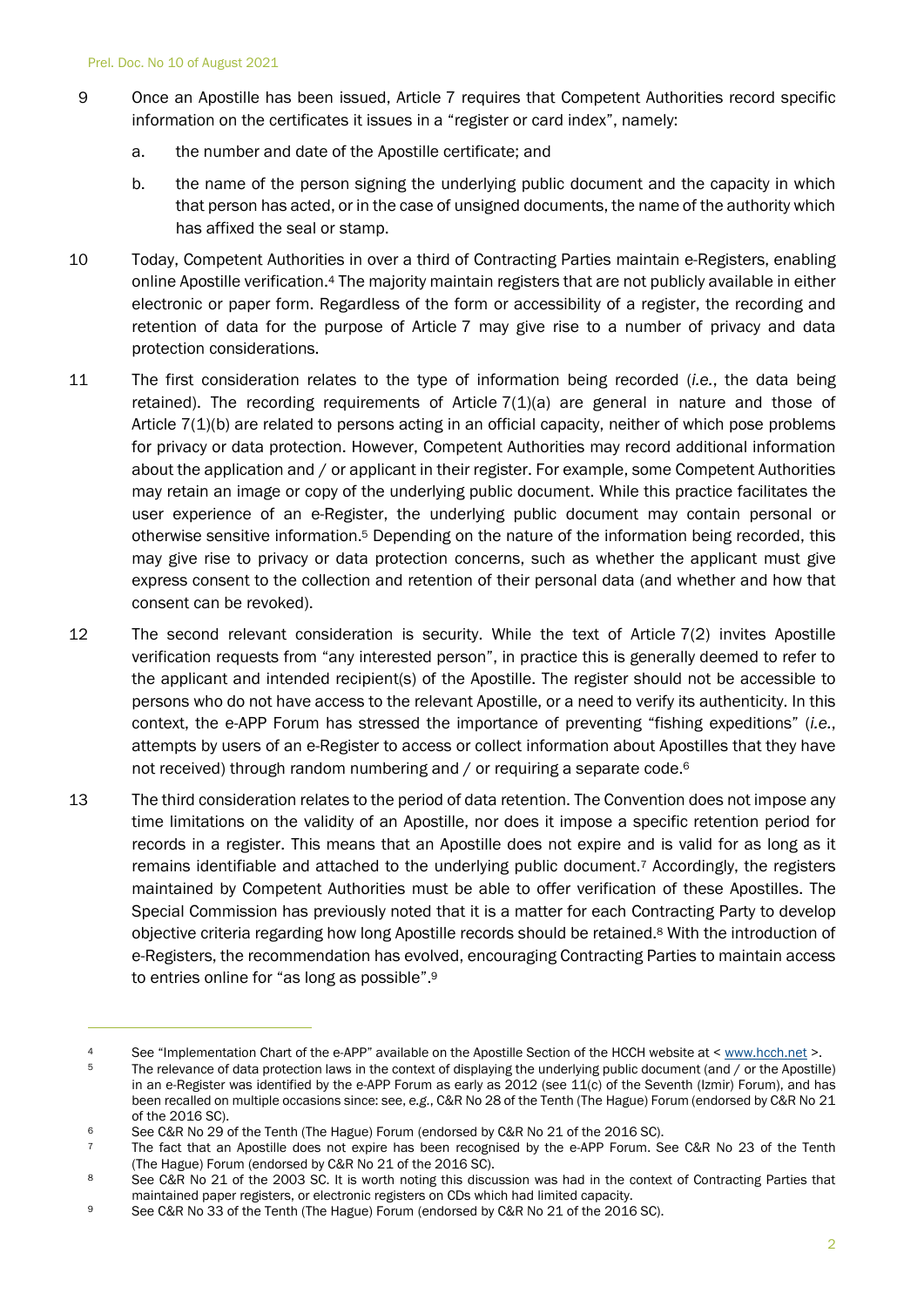- 9 Once an Apostille has been issued, Article 7 requires that Competent Authorities record specific information on the certificates it issues in a "register or card index", namely:
	- a. the number and date of the Apostille certificate; and
	- b. the name of the person signing the underlying public document and the capacity in which that person has acted, or in the case of unsigned documents, the name of the authority which has affixed the seal or stamp.
- 10 Today, Competent Authorities in over a third of Contracting Parties maintain e-Registers, enabling online Apostille verification.<sup>4</sup> The majority maintain registers that are not publicly available in either electronic or paper form. Regardless of the form or accessibility of a register, the recording and retention of data for the purpose of Article 7 may give rise to a number of privacy and data protection considerations.
- 11 The first consideration relates to the type of information being recorded (*i.e.*, the data being retained). The recording requirements of Article 7(1)(a) are general in nature and those of Article 7(1)(b) are related to persons acting in an official capacity, neither of which pose problems for privacy or data protection. However, Competent Authorities may record additional information about the application and / or applicant in their register. For example, some Competent Authorities may retain an image or copy of the underlying public document. While this practice facilitates the user experience of an e-Register, the underlying public document may contain personal or otherwise sensitive information. <sup>5</sup> Depending on the nature of the information being recorded, this may give rise to privacy or data protection concerns, such as whether the applicant must give express consent to the collection and retention of their personal data (and whether and how that consent can be revoked).
- 12 The second relevant consideration is security. While the text of Article 7(2) invites Apostille verification requests from "any interested person", in practice this is generally deemed to refer to the applicant and intended recipient(s) of the Apostille. The register should not be accessible to persons who do not have access to the relevant Apostille, or a need to verify its authenticity. In this context, the e-APP Forum has stressed the importance of preventing "fishing expeditions" (*i.e.*, attempts by users of an e-Register to access or collect information about Apostilles that they have not received) through random numbering and / or requiring a separate code.<sup>6</sup>
- 13 The third consideration relates to the period of data retention. The Convention does not impose any time limitations on the validity of an Apostille, nor does it impose a specific retention period for records in a register. This means that an Apostille does not expire and is valid for as long as it remains identifiable and attached to the underlying public document.<sup>7</sup> Accordingly, the registers maintained by Competent Authorities must be able to offer verification of these Apostilles. The Special Commission has previously noted that it is a matter for each Contracting Party to develop objective criteria regarding how long Apostille records should be retained. <sup>8</sup> With the introduction of e-Registers, the recommendation has evolved, encouraging Contracting Parties to maintain access to entries online for "as long as possible".<sup>9</sup>

<sup>4</sup> See "Implementation Chart of the e-APP" available on the Apostille Section of the HCCH website at < [www.hcch.net](http://www.hcch.net/) >.

<sup>5</sup> The relevance of data protection laws in the context of displaying the underlying public document (and / or the Apostille) in an e-Register was identified by the e-APP Forum as early as 2012 (see 11(c) of the Seventh (Izmir) Forum), and has been recalled on multiple occasions since: see, *e.g.*, C&R No 28 of the Tenth (The Hague) Forum (endorsed by C&R No 21 of the 2016 SC).

<sup>6</sup> See C&R No 29 of the Tenth (The Hague) Forum (endorsed by C&R No 21 of the 2016 SC).

<sup>&</sup>lt;sup>7</sup> The fact that an Apostille does not expire has been recognised by the e-APP Forum. See C&R No 23 of the Tenth (The Hague) Forum (endorsed by C&R No 21 of the 2016 SC).

<sup>8</sup> See C&R No 21 of the 2003 SC. It is worth noting this discussion was had in the context of Contracting Parties that maintained paper registers, or electronic registers on CDs which had limited capacity.

<sup>9</sup> See C&R No 33 of the Tenth (The Hague) Forum (endorsed by C&R No 21 of the 2016 SC).